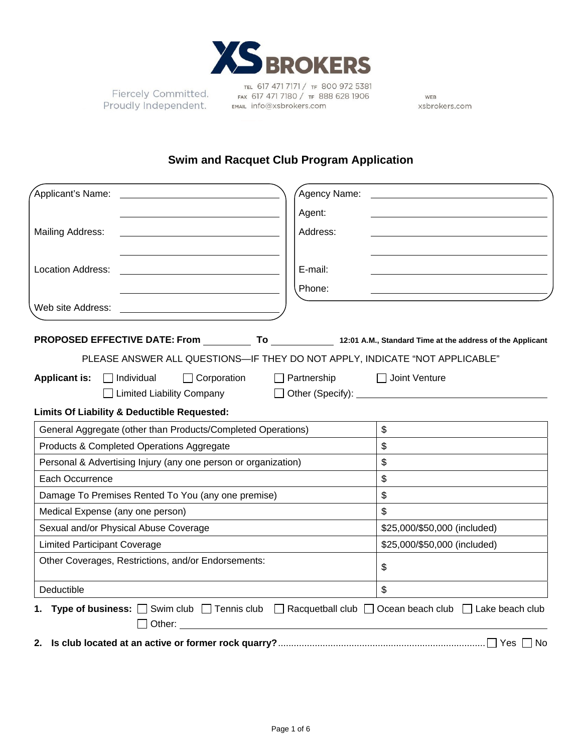

Fiercely Committed. Proudly Independent.

TEL 617 471 7171 / TF 800 972 5381 FAX 617 471 7180 / TF 888 628 1906 FAX 61/4/171807 TF 881<br>EMAIL Info@xsbrokers.com

WEB xsbrokers.com

## **Swim and Racquet Club Program Application**

| Applicant's Name:                                                                                                               | Agency Name:       |                              |
|---------------------------------------------------------------------------------------------------------------------------------|--------------------|------------------------------|
|                                                                                                                                 | Agent:             |                              |
| Mailing Address:                                                                                                                | Address:           |                              |
|                                                                                                                                 |                    |                              |
| <b>Location Address:</b><br><u> 1989 - John Stein, mars and de Brazilian (b. 1989)</u>                                          | E-mail:            |                              |
|                                                                                                                                 | Phone:             |                              |
| Web site Address:                                                                                                               |                    |                              |
|                                                                                                                                 |                    |                              |
| PROPOSED EFFECTIVE DATE: From ____________ To ________________ 12:01 A.M., Standard Time at the address of the Applicant        |                    |                              |
| PLEASE ANSWER ALL QUESTIONS-IF THEY DO NOT APPLY, INDICATE "NOT APPLICABLE"                                                     |                    |                              |
| $\Box$ Corporation<br><b>Applicant is:</b><br>$\Box$ Individual                                                                 | $\Box$ Partnership | $\Box$ Joint Venture         |
| Limited Liability Company                                                                                                       | $\perp$            |                              |
| Limits Of Liability & Deductible Requested:                                                                                     |                    |                              |
| General Aggregate (other than Products/Completed Operations)                                                                    |                    | \$                           |
| Products & Completed Operations Aggregate                                                                                       |                    | \$                           |
| Personal & Advertising Injury (any one person or organization)                                                                  |                    | \$                           |
| Each Occurrence                                                                                                                 |                    | \$                           |
| Damage To Premises Rented To You (any one premise)                                                                              |                    | \$                           |
| Medical Expense (any one person)                                                                                                |                    | \$                           |
| Sexual and/or Physical Abuse Coverage                                                                                           |                    | \$25,000/\$50,000 (included) |
| <b>Limited Participant Coverage</b>                                                                                             |                    | \$25,000/\$50,000 (included) |
| Other Coverages, Restrictions, and/or Endorsements:                                                                             |                    | \$                           |
| Deductible                                                                                                                      |                    | $\mathfrak{S}$               |
| 1. Type of business: $\Box$ Swim club $\Box$ Tennis club $\Box$ Racquetball club $\Box$ Ocean beach club $\Box$ Lake beach club |                    |                              |
| $\Box$ Other:                                                                                                                   |                    |                              |
| 2.                                                                                                                              |                    | Yes<br>No.                   |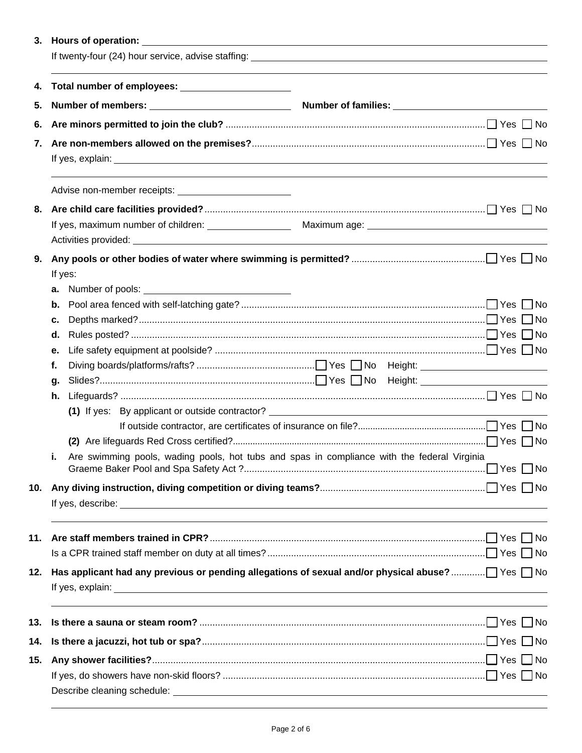| 4.  | Total number of employees: _______________________                                                                                                                                                                             |                                                                                  |  |  |  |
|-----|--------------------------------------------------------------------------------------------------------------------------------------------------------------------------------------------------------------------------------|----------------------------------------------------------------------------------|--|--|--|
| 5.  |                                                                                                                                                                                                                                |                                                                                  |  |  |  |
| 6.  |                                                                                                                                                                                                                                |                                                                                  |  |  |  |
|     |                                                                                                                                                                                                                                |                                                                                  |  |  |  |
|     |                                                                                                                                                                                                                                |                                                                                  |  |  |  |
|     |                                                                                                                                                                                                                                |                                                                                  |  |  |  |
| 8.  |                                                                                                                                                                                                                                |                                                                                  |  |  |  |
|     | If yes, maximum number of children: Maximum age: Maximum age: Maximum age: Maximum age: Maximum age: Maximum age: Maximum age: Maximum age: Maximum age: Maximum age: Maximum age: Maximum age: Maximum age: Maximum age: Maxi |                                                                                  |  |  |  |
|     |                                                                                                                                                                                                                                |                                                                                  |  |  |  |
| 9.  |                                                                                                                                                                                                                                |                                                                                  |  |  |  |
|     | If yes:                                                                                                                                                                                                                        |                                                                                  |  |  |  |
|     | а.                                                                                                                                                                                                                             |                                                                                  |  |  |  |
|     | b.                                                                                                                                                                                                                             |                                                                                  |  |  |  |
|     | c.                                                                                                                                                                                                                             |                                                                                  |  |  |  |
|     | d.                                                                                                                                                                                                                             |                                                                                  |  |  |  |
|     | е.                                                                                                                                                                                                                             |                                                                                  |  |  |  |
|     | f.                                                                                                                                                                                                                             |                                                                                  |  |  |  |
|     | g.                                                                                                                                                                                                                             |                                                                                  |  |  |  |
|     | h.                                                                                                                                                                                                                             |                                                                                  |  |  |  |
|     |                                                                                                                                                                                                                                |                                                                                  |  |  |  |
|     |                                                                                                                                                                                                                                |                                                                                  |  |  |  |
|     | Are swimming pools, wading pools, hot tubs and spas in compliance with the federal Virginia                                                                                                                                    |                                                                                  |  |  |  |
|     | ь.                                                                                                                                                                                                                             |                                                                                  |  |  |  |
|     |                                                                                                                                                                                                                                |                                                                                  |  |  |  |
|     |                                                                                                                                                                                                                                |                                                                                  |  |  |  |
|     |                                                                                                                                                                                                                                |                                                                                  |  |  |  |
|     |                                                                                                                                                                                                                                |                                                                                  |  |  |  |
| 12. |                                                                                                                                                                                                                                |                                                                                  |  |  |  |
| 13. |                                                                                                                                                                                                                                | ,我们也不会有什么。""我们的人,我们也不会有什么?""我们的人,我们也不会有什么?""我们的人,我们也不会有什么?""我们的人,我们也不会有什么?""我们的人 |  |  |  |
| 14. |                                                                                                                                                                                                                                |                                                                                  |  |  |  |
| 15. |                                                                                                                                                                                                                                |                                                                                  |  |  |  |
|     |                                                                                                                                                                                                                                |                                                                                  |  |  |  |
|     |                                                                                                                                                                                                                                |                                                                                  |  |  |  |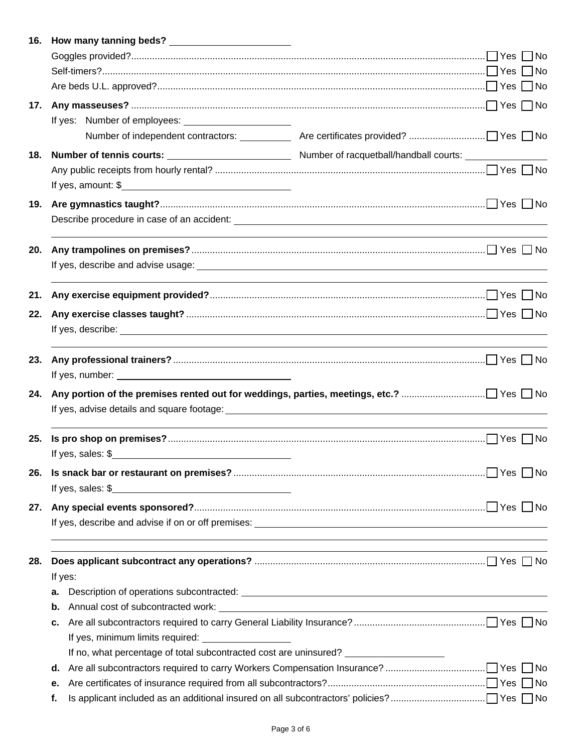|     | 16. How many tanning beds?                                                        |                                                                                                                                                                                                                                     |  |
|-----|-----------------------------------------------------------------------------------|-------------------------------------------------------------------------------------------------------------------------------------------------------------------------------------------------------------------------------------|--|
|     |                                                                                   |                                                                                                                                                                                                                                     |  |
|     |                                                                                   |                                                                                                                                                                                                                                     |  |
|     |                                                                                   |                                                                                                                                                                                                                                     |  |
| 17. |                                                                                   |                                                                                                                                                                                                                                     |  |
|     |                                                                                   |                                                                                                                                                                                                                                     |  |
|     |                                                                                   |                                                                                                                                                                                                                                     |  |
| 18. |                                                                                   |                                                                                                                                                                                                                                     |  |
|     |                                                                                   |                                                                                                                                                                                                                                     |  |
|     |                                                                                   |                                                                                                                                                                                                                                     |  |
| 19. |                                                                                   |                                                                                                                                                                                                                                     |  |
|     |                                                                                   |                                                                                                                                                                                                                                     |  |
| 20. |                                                                                   |                                                                                                                                                                                                                                     |  |
|     |                                                                                   |                                                                                                                                                                                                                                     |  |
| 21. |                                                                                   |                                                                                                                                                                                                                                     |  |
| 22. |                                                                                   |                                                                                                                                                                                                                                     |  |
|     |                                                                                   | If yes, describe: <u>example</u> and the set of the set of the set of the set of the set of the set of the set of the set of the set of the set of the set of the set of the set of the set of the set of the set of the set of the |  |
| 23. |                                                                                   |                                                                                                                                                                                                                                     |  |
|     | If yes, number: $\sqrt{ }$                                                        |                                                                                                                                                                                                                                     |  |
| 24. |                                                                                   |                                                                                                                                                                                                                                     |  |
|     |                                                                                   |                                                                                                                                                                                                                                     |  |
| 25. |                                                                                   |                                                                                                                                                                                                                                     |  |
|     | If yes, sales: $\frac{1}{2}$                                                      |                                                                                                                                                                                                                                     |  |
| 26. |                                                                                   |                                                                                                                                                                                                                                     |  |
|     | If yes, sales: $\frac{1}{2}$                                                      |                                                                                                                                                                                                                                     |  |
| 27. |                                                                                   |                                                                                                                                                                                                                                     |  |
|     |                                                                                   |                                                                                                                                                                                                                                     |  |
| 28. |                                                                                   |                                                                                                                                                                                                                                     |  |
|     | If yes:                                                                           |                                                                                                                                                                                                                                     |  |
|     | а.                                                                                |                                                                                                                                                                                                                                     |  |
|     | b.                                                                                |                                                                                                                                                                                                                                     |  |
|     | c.                                                                                |                                                                                                                                                                                                                                     |  |
|     |                                                                                   |                                                                                                                                                                                                                                     |  |
|     | If no, what percentage of total subcontracted cost are uninsured? _______________ |                                                                                                                                                                                                                                     |  |
|     | d.                                                                                |                                                                                                                                                                                                                                     |  |
|     | е.                                                                                |                                                                                                                                                                                                                                     |  |
|     | f.                                                                                |                                                                                                                                                                                                                                     |  |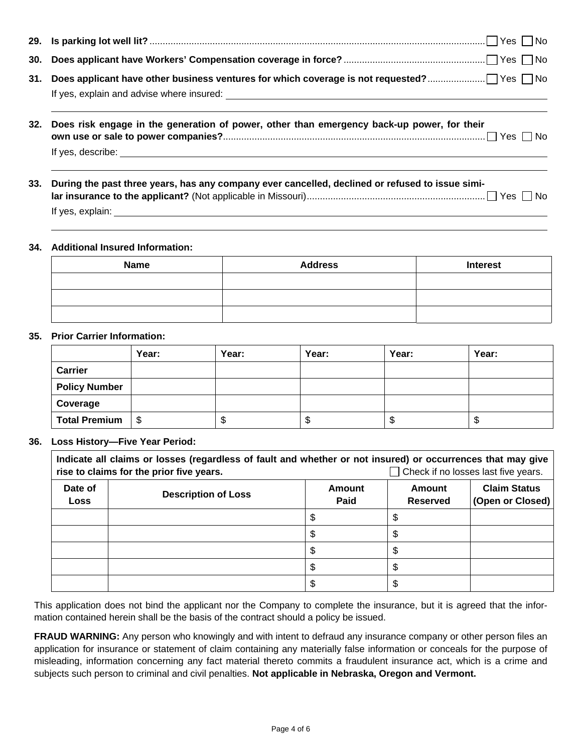| 31. |                                                                                                 |
|-----|-------------------------------------------------------------------------------------------------|
| 32. | Does risk engage in the generation of power, other than emergency back-up power, for their      |
| 33. | During the past three years, has any company ever cancelled, declined or refused to issue simi- |

## **34. Additional Insured Information:**

| <b>Name</b> | <b>Address</b> | <b>Interest</b> |
|-------------|----------------|-----------------|
|             |                |                 |
|             |                |                 |
|             |                |                 |

## **35. Prior Carrier Information:**

|                      | Year: | Year: | Year: | Year: | Year: |
|----------------------|-------|-------|-------|-------|-------|
| Carrier              |       |       |       |       |       |
| <b>Policy Number</b> |       |       |       |       |       |
| Coverage             |       |       |       |       |       |
| <b>Total Premium</b> | S     | ٨IJ   | ึ้ง   | S     | ۰IJ   |

## **36. Loss History—Five Year Period:**

| Indicate all claims or losses (regardless of fault and whether or not insured) or occurrences that may give<br>rise to claims for the prior five years.<br>$\Box$ Check if no losses last five years. |                            |                              |                           |                                         |
|-------------------------------------------------------------------------------------------------------------------------------------------------------------------------------------------------------|----------------------------|------------------------------|---------------------------|-----------------------------------------|
| Date of<br><b>Loss</b>                                                                                                                                                                                | <b>Description of Loss</b> | <b>Amount</b><br><b>Paid</b> | Amount<br><b>Reserved</b> | <b>Claim Status</b><br>(Open or Closed) |
|                                                                                                                                                                                                       |                            | \$                           |                           |                                         |
|                                                                                                                                                                                                       |                            |                              |                           |                                         |
|                                                                                                                                                                                                       |                            | D                            |                           |                                         |
|                                                                                                                                                                                                       |                            | \$.                          |                           |                                         |
|                                                                                                                                                                                                       |                            | \$                           |                           |                                         |

This application does not bind the applicant nor the Company to complete the insurance, but it is agreed that the information contained herein shall be the basis of the contract should a policy be issued.

**FRAUD WARNING:** Any person who knowingly and with intent to defraud any insurance company or other person files an application for insurance or statement of claim containing any materially false information or conceals for the purpose of misleading, information concerning any fact material thereto commits a fraudulent insurance act, which is a crime and subjects such person to criminal and civil penalties. **Not applicable in Nebraska, Oregon and Vermont.**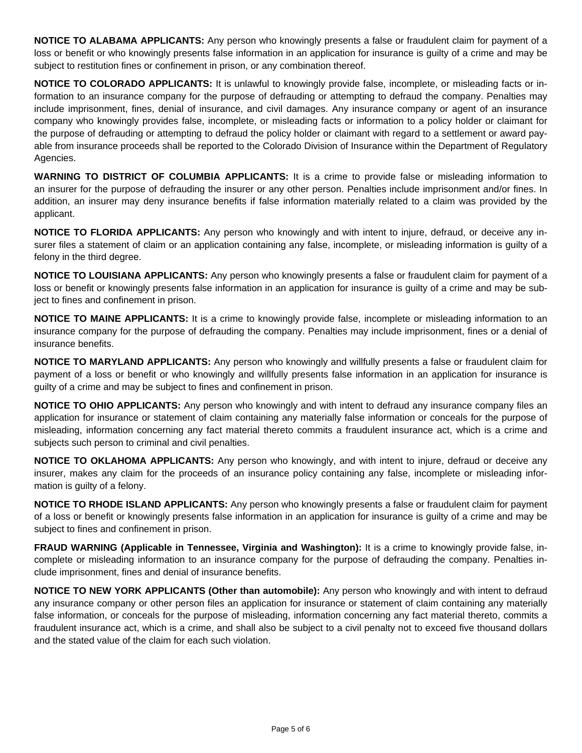**NOTICE TO ALABAMA APPLICANTS:** Any person who knowingly presents a false or fraudulent claim for payment of a loss or benefit or who knowingly presents false information in an application for insurance is guilty of a crime and may be subject to restitution fines or confinement in prison, or any combination thereof.

**NOTICE TO COLORADO APPLICANTS:** It is unlawful to knowingly provide false, incomplete, or misleading facts or information to an insurance company for the purpose of defrauding or attempting to defraud the company. Penalties may include imprisonment, fines, denial of insurance, and civil damages. Any insurance company or agent of an insurance company who knowingly provides false, incomplete, or misleading facts or information to a policy holder or claimant for the purpose of defrauding or attempting to defraud the policy holder or claimant with regard to a settlement or award payable from insurance proceeds shall be reported to the Colorado Division of Insurance within the Department of Regulatory Agencies.

**WARNING TO DISTRICT OF COLUMBIA APPLICANTS:** It is a crime to provide false or misleading information to an insurer for the purpose of defrauding the insurer or any other person. Penalties include imprisonment and/or fines. In addition, an insurer may deny insurance benefits if false information materially related to a claim was provided by the applicant.

**NOTICE TO FLORIDA APPLICANTS:** Any person who knowingly and with intent to injure, defraud, or deceive any insurer files a statement of claim or an application containing any false, incomplete, or misleading information is guilty of a felony in the third degree.

**NOTICE TO LOUISIANA APPLICANTS:** Any person who knowingly presents a false or fraudulent claim for payment of a loss or benefit or knowingly presents false information in an application for insurance is guilty of a crime and may be subject to fines and confinement in prison.

**NOTICE TO MAINE APPLICANTS:** It is a crime to knowingly provide false, incomplete or misleading information to an insurance company for the purpose of defrauding the company. Penalties may include imprisonment, fines or a denial of insurance benefits.

**NOTICE TO MARYLAND APPLICANTS:** Any person who knowingly and willfully presents a false or fraudulent claim for payment of a loss or benefit or who knowingly and willfully presents false information in an application for insurance is guilty of a crime and may be subject to fines and confinement in prison.

**NOTICE TO OHIO APPLICANTS:** Any person who knowingly and with intent to defraud any insurance company files an application for insurance or statement of claim containing any materially false information or conceals for the purpose of misleading, information concerning any fact material thereto commits a fraudulent insurance act, which is a crime and subjects such person to criminal and civil penalties.

**NOTICE TO OKLAHOMA APPLICANTS:** Any person who knowingly, and with intent to injure, defraud or deceive any insurer, makes any claim for the proceeds of an insurance policy containing any false, incomplete or misleading information is guilty of a felony.

**NOTICE TO RHODE ISLAND APPLICANTS:** Any person who knowingly presents a false or fraudulent claim for payment of a loss or benefit or knowingly presents false information in an application for insurance is guilty of a crime and may be subject to fines and confinement in prison.

**FRAUD WARNING (Applicable in Tennessee, Virginia and Washington):** It is a crime to knowingly provide false, incomplete or misleading information to an insurance company for the purpose of defrauding the company. Penalties include imprisonment, fines and denial of insurance benefits.

**NOTICE TO NEW YORK APPLICANTS (Other than automobile):** Any person who knowingly and with intent to defraud any insurance company or other person files an application for insurance or statement of claim containing any materially false information, or conceals for the purpose of misleading, information concerning any fact material thereto, commits a fraudulent insurance act, which is a crime, and shall also be subject to a civil penalty not to exceed five thousand dollars and the stated value of the claim for each such violation.